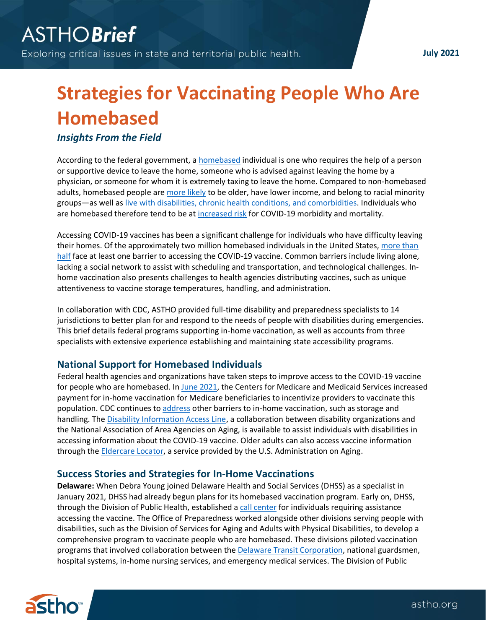**July 2021**

## **Strategies for Vaccinating People Who Are Homebased**

*Insights From the Field*

According to the federal government, a [homebased](https://www.cms.gov/Regulations-and-Guidance/Guidance/Transmittals/2017Downloads/R704PI.pdf) individual is one who requires the help of a person or supportive device to leave the home, someone who is advised against leaving the home by a physician, or someone for whom it is extremely taxing to leave the home. Compared to non-homebased adults, homebased people are [more likely](https://jamanetwork.com/journals/jamainternalmedicine/fullarticle/2296016) to be older, have lower income, and belong to racial minority groups—as well a[s live with disabilities, chronic health conditions,](https://www.sciencedirect.com/science/article/pii/S0197457215002347) and comorbidities. Individuals who are homebased therefore tend to be at [increased risk](https://www.cdc.gov/coronavirus/2019-ncov/need-extra-precautions/people-with-medical-conditions.html) for COVID-19 morbidity and mortality.

Accessing COVID-19 vaccines has been a significant challenge for individuals who have difficulty leaving their homes. Of the approximately two million homebased individuals in the United States, more than [half](https://aspe.hhs.gov/homebound-vaccine-covid) face at least one barrier to accessing the COVID-19 vaccine. Common barriers include living alone, lacking a social network to assist with scheduling and transportation, and technological challenges. Inhome vaccination also presents challenges to health agencies distributing vaccines, such as unique attentiveness to vaccine storage temperatures, handling, and administration.

In collaboration with CDC, ASTHO provided full-time disability and preparedness specialists to 14 jurisdictions to better plan for and respond to the needs of people with disabilities during emergencies. This brief details federal programs supporting in-home vaccination, as well as accounts from three specialists with extensive experience establishing and maintaining state accessibility programs.

## **National Support for Homebased Individuals**

Federal health agencies and organizations have taken steps to improve access to the COVID-19 vaccine for people who are homebased. I[n June 2021,](https://www.cms.gov/newsroom/press-releases/biden-administration-continues-efforts-increase-vaccinations-bolstering-payments-home-covid-19) the Centers for Medicare and Medicaid Services increased payment for in-home vaccination for Medicare beneficiaries to incentivize providers to vaccinate this population. CDC continues to [address](https://www.cdc.gov/vaccines/covid-19/clinical-considerations/homebound-persons.html) other barriers to in-home vaccination, such as storage and handling. The [Disability Information Access Line,](https://acl.gov/DIAL) a collaboration between disability organizations and the National Association of Area Agencies on Aging, is available to assist individuals with disabilities in accessing information about the COVID-19 vaccine. Older adults can also access vaccine information through the [Eldercare Locator,](https://eldercare.acl.gov/Public/Index.aspx) a service provided by the U.S. Administration on Aging.

## **Success Stories and Strategies for In-Home Vaccinations**

**Delaware:** When Debra Young joined Delaware Health and Social Services (DHSS) as a specialist in January 2021, DHSS had already begun plans for its homebased vaccination program. Early on, DHSS, through the Division of Public Health, established [a call center](https://coronavirus.delaware.gov/vaccine/covid-19-vaccine-information-for-persons-with-disabilities-or-access-and-functional-needs/) for individuals requiring assistance accessing the vaccine. The Office of Preparedness worked alongside other divisions serving people with disabilities, such as the Division of Services for Aging and Adults with Physical Disabilities, to develop a comprehensive program to vaccinate people who are homebased. These divisions piloted vaccination programs that involved collaboration between th[e Delaware Transit Corporation,](https://dartfirststate.com/) national guardsmen, hospital systems, in-home nursing services, and emergency medical services. The Division of Public